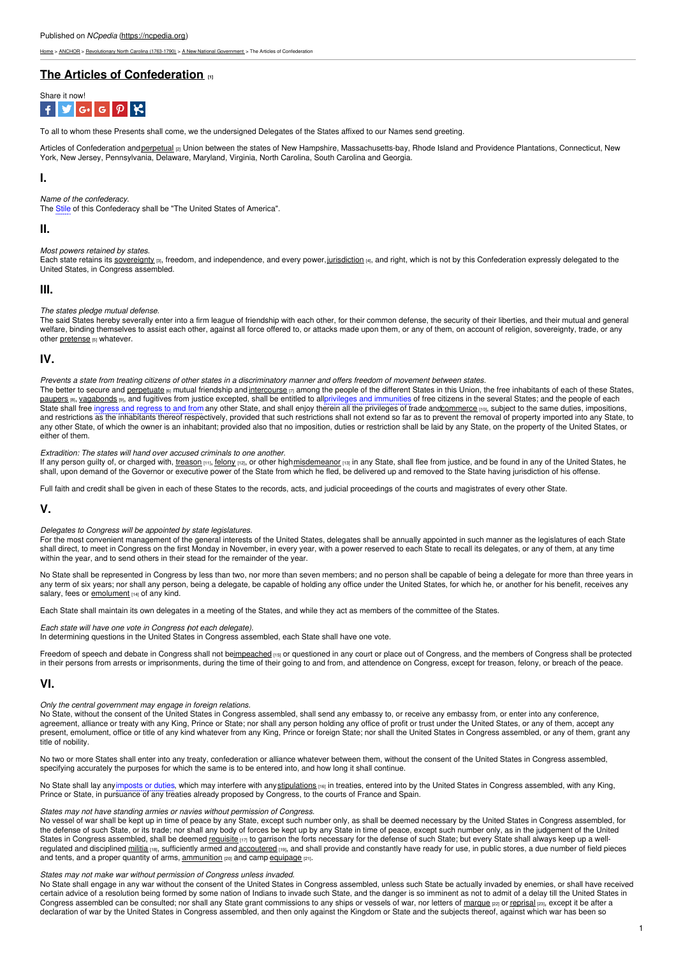[Home](https://ncpedia.org/) > [ANCHOR](https://ncpedia.org/anchor/anchor) > [Revolutionary](https://ncpedia.org/anchor/revolutionary-north-carolina) North Carolina (1763-1790) > A New National [Government](https://ncpedia.org/anchor/new-national-government) > The Articles of Confederation

# **The Articles of [Confederation](https://ncpedia.org/anchor/articles-confederation) [1]**



To all to whom these Presents shall come, we the undersigned Delegates of the States affixed to our Names send greeting.

Articles of Confederation and [perpetual](https://ncpedia.org/glossary/perpetual) [2] Union between the states of New Hampshire, Massachusetts-bay, Rhode Island and Providence Plantations, Connecticut, New York, New Jersey, Pennsylvania, Delaware, Maryland, Virginia, North Carolina, South Carolina and Georgia.

# **I.**

*Name of the confederacy.*

The Stile of this Confederacy shall be "The United States of America".

# **II.**

#### *Most powers retained by states.*

Each state retains its [sovereignty](https://ncpedia.org/glossary/sovereignty) [3], freedom, and independence, and every power, jurisdiction [4], and right, which is not by this Confederation expressly delegated to the United States, in Congress assembled.

# **III.**

#### *The states pledge mutual defense.*

The said States hereby severally enter into a firm league of friendship with each other, for their common defense, the security of their liberties, and their mutual and general welfare, binding themselves to assist each other, against all force offered to, or attacks made upon them, or any of them, on account of religion, sovereignty, trade, or any other [pretense](https://ncpedia.org/glossary/pretense) [5] whatever.

# **IV.**

Prevents a state from treating citizens of other states in a discriminatory manner and offers freedom of movement between states. The better to secure and <u>[perpetuate](https://ncpedia.org/glossary/perpetuate)</u> <sub>[6]</sub> mutual friendship and <u>[intercourse](https://ncpedia.org/glossary/intercourse)</u> <sub>[7]</sub> among the people of the different States in this Union, the free inhabitants of each of these States, <u>[paupers](https://ncpedia.org/glossary/pauper) [8], [vagabonds](https://ncpedia.org/glossary/vagabond) [9],</u> and fugitives from justice excepted, shall be entitled to allprivileges and immunities of free citizens in the several States; and the people of each State shall free ingress and regress to and from any other State, and shall enjoy therein all the privileges of trade and commerce [10], subject to the same duties, impositions, and restrictions as the inhabitants thereof respectively, provided that such restrictions shall not extend so far as to prevent the removal of property imported into any State, to any other State, of which the owner is an inhabitant; provided also that no imposition, duties or restriction shall be laid by any State, on the property of the United States, or either of them.

# *Extradition: The states will hand over accused criminals to one another.*

If any person guilty of, or charged with, [treason](https://ncpedia.org/glossary/treason) [11], [felony](https://ncpedia.org/glossary/felony) [12], or other high[misdemeanor](https://ncpedia.org/glossary/misdemeanor) [13] in any State, shall flee from justice, and be found in any of the United States, he shall, upon demand of the Governor or executive power of the State from which he fled, be delivered up and removed to the State having jurisdiction of his offense.

Full faith and credit shall be given in each of these States to the records, acts, and judicial proceedings of the courts and magistrates of every other State.

# **V.**

#### *Delegates to Congress will be appointed by state legislatures.*

For the most convenient management of the general interests of the United States, delegates shall be annually appointed in such manner as the legislatures of each State shall direct, to meet in Congress on the first Monday in November, in every year, with a power reserved to each State to recall its delegates, or any of them, at any time within the year, and to send others in their stead for the remainder of the year.

No State shall be represented in Congress by less than two, nor more than seven members; and no person shall be capable of being a delegate for more than three years in any term of six years; nor shall any person, being a delegate, be capable of holding any office under the United States, for which he, or another for his benefit, receives any salary, fees or [emolument](https://ncpedia.org/glossary/emolument) [14] of any kind.

Each State shall maintain its own delegates in a meeting of the States, and while they act as members of the committee of the States.

*Each state will have one vote in Congress (not each delegate).* In determining questions in the United States in Congress assembled, each State shall have one vote.

Freedom of speech and debate in Congress shall not be[impeached](https://ncpedia.org/glossary/impeach) [15] or questioned in any court or place out of Congress, and the members of Congress shall be protected in their persons from arrests or imprisonments, during the time of their going to and from, and attendence on Congress, except for treason, felony, or breach of the peace.

# **VI.**

#### *Only the central government may engage in foreign relations.*

No State, without the consent of the United States in Congress assembled, shall send any embassy to, or receive any embassy from, or enter into any conference, agreement, alliance or treaty with any King, Prince or State; nor shall any person holding any office of profit or trust under the United States, or any of them, accept any present, emolument, office or title of any kind whatever from any King, Prince or foreign State; nor shall the United States in Congress assembled, or any of them, grant any title of nobility.

No two or more States shall enter into any treaty, confederation or alliance whatever between them, without the consent of the United States in Congress assembled, specifying accurately the purposes for which the same is to be entered into, and how long it shall continue.

No State shall lay anyimposts or duties, which may interfere with any [stipulations](https://ncpedia.org/glossary/stipulation) [16] in treaties, entered into by the United States in Congress assembled, with any King, Prince or State, in pursuance of any treaties already proposed by Congress, to the courts of France and Spain.

# *States may not have standing armies or navies without permission of Congress.*

No vessel of war shall be kept up in time of peace by any State, except such number only, as shall be deemed necessary by the United States in Congress assembled, for the defense of such State, or its trade; nor shall any body of forces be kept up by any State in time of peace, except such number only, as in the judgement of the United States in Congress assembled, shall be deemed [requisite](https://ncpedia.org/glossary/requisite) [17] to garrison the forts necessary for the defense of such State; but every State shall always keep up a wellregulated and disciplined [militia](https://ncpedia.org/glossary/militia) [18], sufficiently armed and [accoutered](https://ncpedia.org/glossary/accouter) [19], and shall provide and constantly have ready for use, in public stores, a due number of field pieces and tents, and a proper quantity of arms, [ammunition](https://ncpedia.org/glossary/ammunition) [20] and camp [equipage](https://ncpedia.org/glossary/equipage) [21].

# *States may not make war without permission of Congress unless invaded.*

No State shall engage in any war without the consent of the United States in Congress assembled, unless such State be actually invaded by enemies, or shall have received certain advice of a resolution being formed by some nation of Indians to invade such State, and the danger is so imminent as not to admit of a delay till the United States in Congress assembled can be consulted; nor shall any State grant commissions to any ships or vessels of war, nor letters of [marque](https://ncpedia.org/glossary/marque) [22] or [reprisal](https://ncpedia.org/glossary/reprisal) [23], except it be after a declaration of war by the United States in Congress assembled, and then only against the Kingdom or State and the subjects thereof, against which war has been so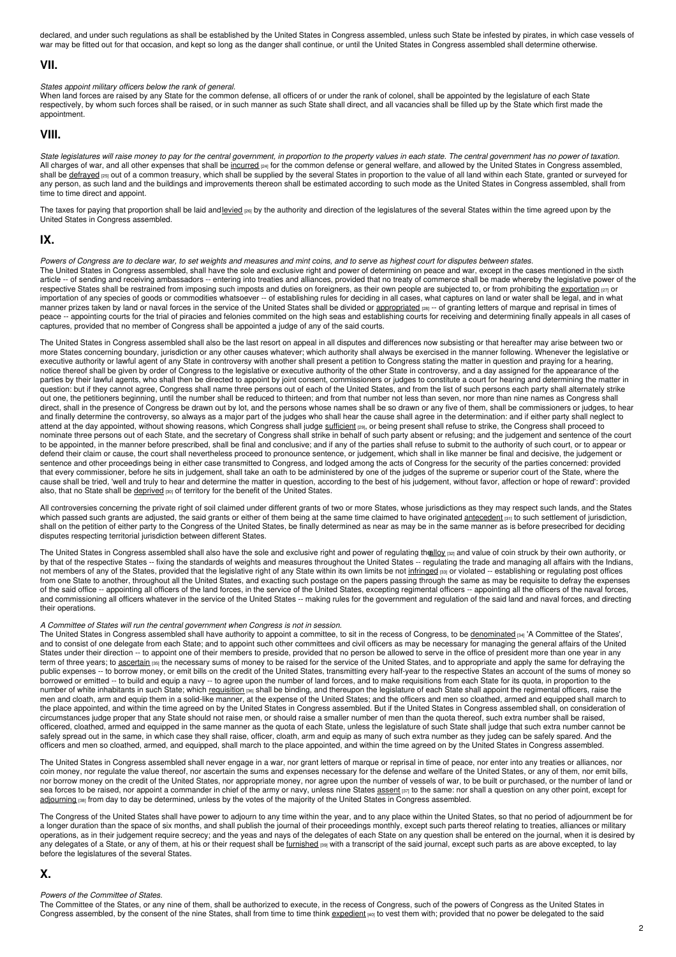declared, and under such regulations as shall be established by the United States in Congress assembled, unless such State be infested by pirates, in which case vessels of war may be fitted out for that occasion, and kept so long as the danger shall continue, or until the United States in Congress assembled shall determine otherwise.

# **VII.**

#### *States appoint military officers below the rank of general.*

When land forces are raised by any State for the common defense, all officers of or under the rank of colonel, shall be appointed by the legislature of each State respectively, by whom such forces shall be raised, or in such manner as such State shall direct, and all vacancies shall be filled up by the State which first made the appointment.

# **VIII.**

State legislatures will raise money to pay for the central government, in proportion to the property values in each state. The central government has no power of taxation. All charges of war, and all other expenses that shall be [incurred](https://ncpedia.org/glossary/incur)  $_{[24]}$  for the common defense or general welfare, and allowed by the United States in Congress assembled, shall be [defrayed](https://ncpedia.org/glossary/defray) [25] out of a common treasury, which shall be supplied by the several States in proportion to the value of all land within each State, granted or surveyed for any person, as such land and the buildings and improvements thereon shall be estimated according to such mode as the United States in Congress assembled, shall from time to time direct and appoint.

The taxes for paying that proportion shall be laid and [levied](https://ncpedia.org/glossary/levy) real by the authority and direction of the legislatures of the several States within the time agreed upon by the United States in Congress assembled.

# **IX.**

Powers of Congress are to declare war, to set weights and measures and mint coins, and to serve as highest court for disputes between states. The United States in Congress assembled, shall have the sole and exclusive right and power of determining on peace and war, except in the cases mentioned in the sixth article -- of sending and receiving ambassadors -- entering into treaties and alliances, provided that no treaty of commerce shall be made whereby the legislative power of the respective States shall be restrained from imposing such imposts and duties on foreigners, as their own people are subjected to, or from prohibiting the [exportation](https://ncpedia.org/glossary/exportation) [27] or importation of any species of goods or commodities whatsoever -- of establishing rules for deciding in all cases, what captures on land or water shall be legal, and in what miponditions and process of getter the termines are the United States shall be divided or [appropriated](https://ncpedia.org/glossary/appropriate) [28] -- of granting letters of marque and reprisal in times of marque and reprisal in times of peace -- appointing courts for the trial of piracies and felonies commited on the high seas and establishing courts for receiving and determining finally appeals in all cases of captures, provided that no member of Congress shall be appointed a judge of any of the said courts.

The United States in Congress assembled shall also be the last resort on appeal in all disputes and differences now subsisting or that hereafter may arise between two or more States concerning boundary, jurisdiction or any other causes whatever; which authority shall always be exercised in the manner following. Whenever the legislative or executive authority or lawful agent of any State in controversy with another shall present a petition to Congress stating the matter in question and praying for a hearing, notice thereof shall be given by order of Congress to the legislative or executive authority of the other State in controversy, and a day assigned for the appearance of the parties by their lawful agents, who shall then be directed to appoint by joint consent, commissioners or judges to constitute a court for hearing and determining the matter in question: but if they cannot agree, Congress shall name three persons out of each of the United States, and from the list of such persons each party shall alternately strike out one, the petitioners beginning, until the number shall be reduced to thirteen; and from that number not less than seven, nor more than nine names as Congress shall direct, shall in the presence of Congress be drawn out by lot, and the persons whose names shall be so drawn or any five of them, shall be commissioners or judges, to hear and finally determine the controversy, so always as a major part of the judges who shall hear the cause shall agree in the determination: and if either party shall neglect to attend at the day appointed, without showing reasons, which Congress shall judge [sufficient](https://ncpedia.org/glossary/sufficient) [29], or being present shall refuse to strike, the Congress shall proceed to nominate three persons out of each State, and the secretary of Congress shall strike in behalf of such party absent or refusing; and the judgement and sentence of the court to be appointed, in the manner before prescribed, shall be final and conclusive; and if any of the parties shall refuse to submit to the authority of such court, or to appear or defend their claim or cause, the court shall nevertheless proceed to pronounce sentence, or judgement, which shall in like manner be final and decisive, the judgement or sentence and other proceedings being in either case transmitted to Congress, and lodged among the acts of Congress for the security of the parties concerned: provided that every commissioner, before he sits in judgement, shall take an oath to be administered by one of the judges of the supreme or superior court of the State, where the cause shall be tried, 'well and truly to hear and determine the matter in question, according to the best of his judgement, without favor, affection or hope of reward': provided also, that no State shall be [deprived](https://ncpedia.org/glossary/deprive) (30) of territory for the benefit of the United States.

All controversies concerning the private right of soil claimed under different grants of two or more States, whose jurisdictions as they may respect such lands, and the States which passed such grants are adjusted, the said grants or either of them being at the same time claimed to have originated [antecedent](https://ncpedia.org/glossary/antecedent) [31] to such settlement of jurisdiction, shall on the petition of either party to the Congress of the United States, be finally determined as near as may be in the same manner as is before presecribed for deciding disputes respecting territorial jurisdiction between different States.

The United States in Congress assembled shall also have the sole and exclusive right and power of regulating th<u>alloy  $_{[32]}$ </u> and value of coin struck by their own authority, or by that of the respective States -- fixing the standards of weights and measures throughout the United States -- regulating the trade and managing all affairs with the Indians, not members of any of the States, provided that the legislative right of any State within its own limits be not [infringed](https://ncpedia.org/glossary/infringe) [33] or violated -- establishing or regulating post offices from one State to another, throughout all the United States, and exacting such postage on the papers passing through the same as may be requisite to defray the expenses of the said office -- appointing all officers of the land forces, in the service of the United States, excepting regimental officers -- appointing all the officers of the naval forces, and commissioning all officers whatever in the service of the United States -- making rules for the government and regulation of the said land and naval forces, and directing their operations.

# *A Committee of States will run the central government when Congress is not in session.*

The United States in Congress assembled shall have authority to appoint a committee, to sit in the recess of Congress, to be [denominated](https://ncpedia.org/glossary/denominate) [34] 'A Committee of the States', and to consist of one delegate from each State; and to appoint such other committees and civil officers as may be necessary for managing the general affairs of the United States under their direction -- to appoint one of their members to preside, provided that no person be allowed to serve in the office of president more than one year in any term of three years; to [ascertain](https://ncpedia.org/glossary/ascertain) [35] the necessary sums of money to be raised for the service of the United States, and to appropriate and apply the same for defraying the public expenses -- to borrow money, or emit bills on the credit of the United States, transmitting every half-year to the respective States an account of the sums of money so borrowed or emitted -- to build and equip a navy -- to agree upon the number of land forces, and to make requisitions from each State for its quota, in proportion to the number of white inhabitants in such State; which <u>[requisition](https://ncpedia.org/glossary/requisition)  $_{[86]}$ </u> shall be binding, and thereupon the legislature of each State shall appoint the regimental officers, raise the men and cloath, arm and equip them in a solid-like manner, at the expense of the United States; and the officers and men so cloathed, armed and equipped shall march to the place appointed, and within the time agreed on by the United States in Congress assembled. But if the United States in Congress assembled shall, on consideration of circumstances judge proper that any State should not raise men, or should raise a smaller number of men than the quota thereof, such extra number shall be raised, officered, cloathed, armed and equipped in the same manner as the quota of each State, unless the legislature of such State shall judge that such extra number cannot be safely spread out in the same, in which case they shall raise, officer, cloath, arm and equip as many of such extra number as they judeg can be safely spared. And the officers and men so cloathed, armed, and equipped, shall march to the place appointed, and within the time agreed on by the United States in Congress assembled.

The United States in Congress assembled shall never engage in a war, nor grant letters of marque or reprisal in time of peace, nor enter into any treaties or alliances, nor coin money, nor regulate the value thereof, nor ascertain the sums and expenses necessary for the defense and welfare of the United States, or any of them, nor emit bills, nor borrow money on the credit of the United States, nor appropriate money, nor agree upon the number of vessels of war, to be built or purchased, or the number of land or sea forces to be raised, nor appoint a commander in chief of the army or navy, unless nine States [assent](https://ncpedia.org/glossary/assent) [37] to the same: nor shall a question on any other point, except for [adjourning](https://ncpedia.org/glossary/adjourn) [38] from day to day be determined, unless by the votes of the majority of the United States in Congress assembled.

The Congress of the United States shall have power to adjourn to any time within the year, and to any place within the United States, so that no period of adjournment be for a longer duration than the space of six months, and shall publish the journal of their proceedings monthly, except such parts thereof relating to treaties, alliances or military operations, as in their judgement require secrecy; and the yeas and nays of the delegates of each State on any question shall be entered on the journal, when it is desired by any delegates of a State, or any of them, at his or their request shall be [furnished](https://ncpedia.org/glossary/furnish) [39] with a transcript of the said journal, except such parts as are above excepted, to lay before the legislatures of the several States.

# **X.**

#### *Powers of the Committee of States.*

The Committee of the States, or any nine of them, shall be authorized to execute, in the recess of Congress, such of the powers of Congress as the United States in Congress assembled, by the consent of the nine States, shall from time to time think [expedient](https://ncpedia.org/glossary/expedient) [40] to vest them with; provided that no power be delegated to the said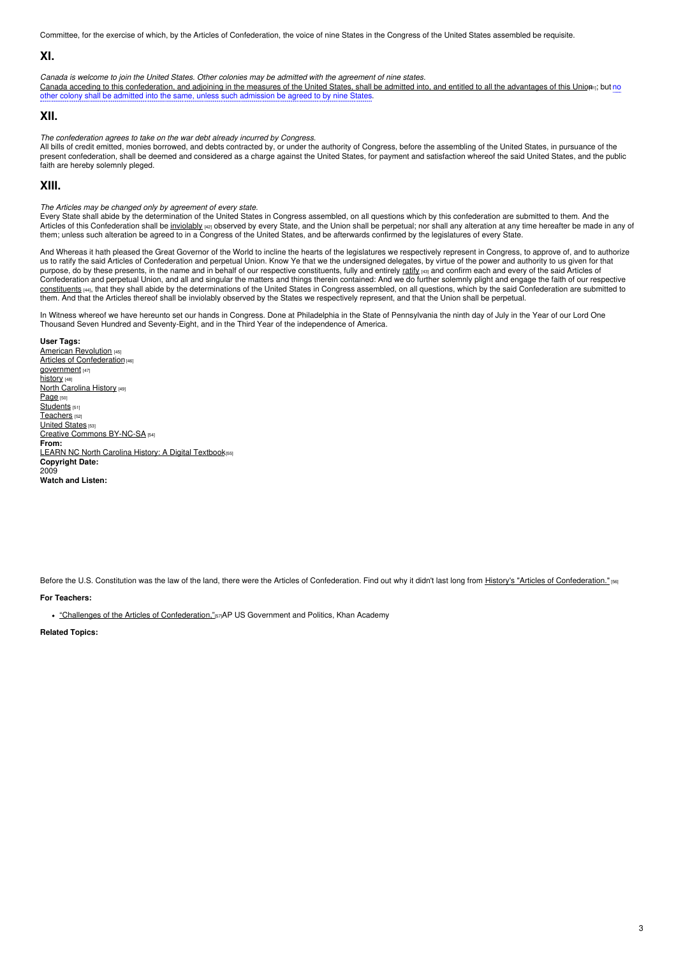Committee, for the exercise of which, by the Articles of Confederation, the voice of nine States in the Congress of the United States assembled be requisite.

# **XI.**

Canada is welcome to join the United States. Other colonies may be admitted with the agreement of nine states.

Canada acceding to this [confederation,](https://www.ncpedia.org/media/map/1777-map-canadian-united) and adjoining in the measures of the United States, shall be admitted into, and entitled to all the advantages of this Uniona; but no other colony shall be admitted into the same, unless such admission be agreed to by nine States.

# **XII.**

*The confederation agrees to take on the war debt already incurred by Congress.*

All bills of credit emitted, monies borrowed, and debts contracted by, or under the authority of Congress, before the assembling of the United States, in pursuance of the present confederation, shall be deemed and considered as a charge against the United States, for payment and satisfaction whereof the said United States, and the public faith are hereby solemnly pleged.

# **XIII.**

*The Articles may be changed only by agreement of every state.*

Every State shall abide by the determination of the United States in Congress assembled, on all questions which by this confederation are submitted to them. And the Articles of this Confederation shall be [inviolably](https://ncpedia.org/glossary/inviolably) [42] observed by every State, and the Union shall be perpetual; nor shall any alteration at any time hereafter be made in any of them; unless such alteration be agreed to in a Congress of the United States, and be afterwards confirmed by the legislatures of every State.

And Whereas it hath pleased the Great Governor of the World to incline the hearts of the legislatures we respectively represent in Congress, to approve of, and to authorize us to ratify the said Articles of Confederation and perpetual Union. Know Ye that we the undersigned delegates, by virtue of the power and authority to us given for that purpose, do by these presents, in the name and in behalf of our respective constituents, fully and entirely [ratify](https://ncpedia.org/glossary/ratify) [43] and confirm each and every of the said Articles of Confederation and perpetual Union, and all and singular the matters and things therein contained: And we do further solemnly plight and engage the faith of our respective [constituents](https://ncpedia.org/glossary/constituents) [44], that they shall abide by the determinations of the United States in Congress assembled, on all questions, which by the said Confederation are submitted to them. And that the Articles thereof shall be inviolably observed by the States we respectively represent, and that the Union shall be perpetual.

In Witness whereof we have hereunto set our hands in Congress. Done at Philadelphia in the State of Pennsylvania the ninth day of July in the Year of our Lord One Thousand Seven Hundred and Seventy-Eight, and in the Third Year of the independence of America.

**User Tags:** American [Revolution](https://ncpedia.org/category/user-tags/american) [45] Articles of [Confederation](https://ncpedia.org/category/user-tags/articles) [46] [government](https://ncpedia.org/category/user-tags/government) [47] [history](https://ncpedia.org/category/user-tags/history) [48] North [Carolina](https://ncpedia.org/category/user-tags/north-carolina-6) History [49] [Page](https://ncpedia.org/category/user-tags/page) [50] [Students](https://ncpedia.org/category/user-tags/students) [51] [Teachers](https://ncpedia.org/category/user-tags/teachers) [52] [United](https://ncpedia.org/category/user-tags/united-states) States [53] Creative Commons [BY-NC-SA](https://ncpedia.org/category/user-tags/creative-commons) [54] **From:** LEARN NC North Carolina History: A Digital [Textbook](https://ncpedia.org/category/entry-source/learn-nc)[55] **Copyright Date:** 2009 **Watch and Listen:**

Before the U.S. Constitution was the law of the land, there were the Articles of Confederation. Find out why it didn't last long from History's "Articles of [Confederation."](https://www.ncpedia.org/media/video/articles-confederation) [56] **For Teachers:**

. "Challenges of the Articles of [Confederation,"](https://www.khanacademy.org/humanities/ap-us-government-and-politics/foundations-of-american-democracy/challenges-of-the-articles-of-confederation/a/challenges-of-the-articles-of-confederation-article)[57]AP US Government and Politics, Khan Academy

**Related Topics:**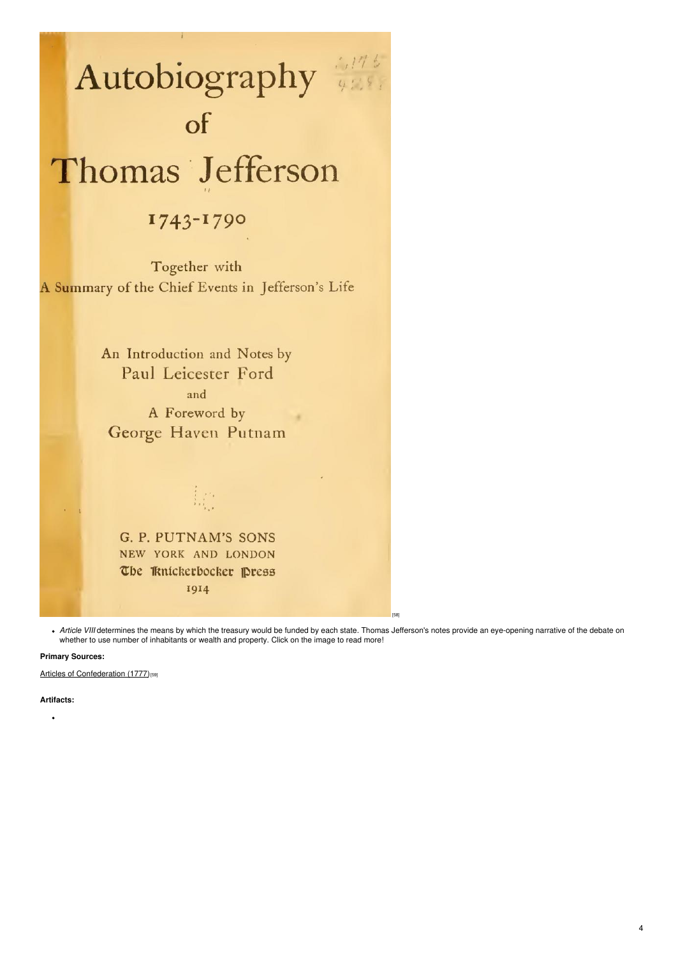# Autobiography  $\sigma$ Thomas Jefferson

1743-1790

Together with A Summary of the Chief Events in Jefferson's Life

> An Introduction and Notes by Paul Leicester Ford and A Foreword by George Haven Putnam

G. P. PUTNAM'S SONS NEW YORK AND LONDON The Tknickerbocker Press 1914

*Article VIII* determines the means by which the treasury would be funded by each state. Thomas Jefferson's notes provide an eye-opening narrative of the debate on whether to use number of inhabitants or wealth and property. Click on the image to read more!

[58]

**Primary Sources:**

Articles of [Confederation](https://www.archives.gov/milestone-documents/articles-of-confederation) (1777)[59]

**Artifacts:**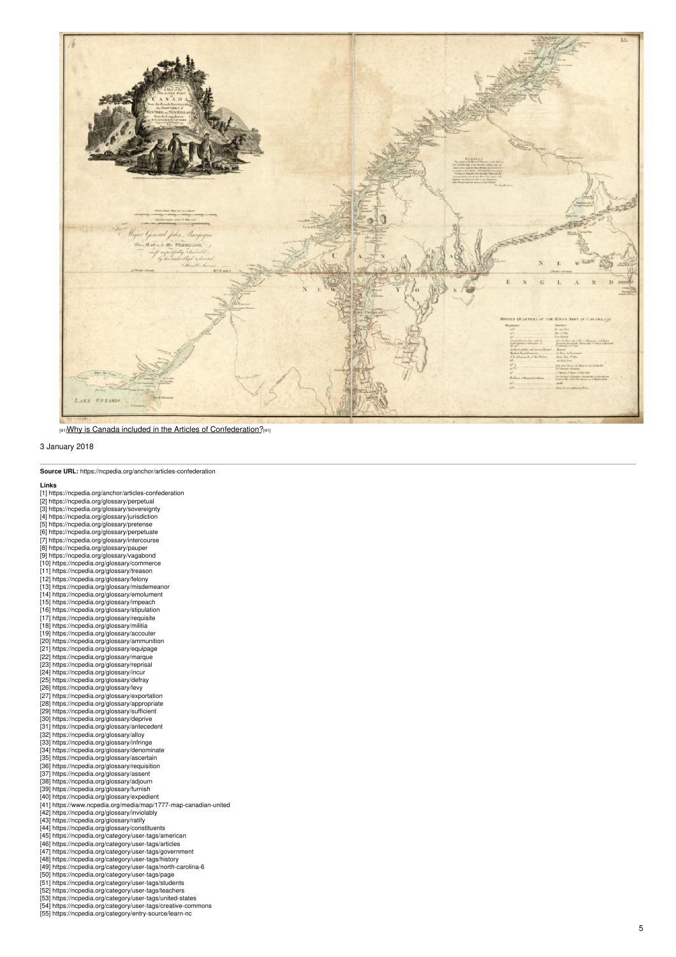

<sup>[41]</sup>Why is Canada included in the Ar[ticle](https://www.ncpedia.org/media/map/1777-map-canadian-united)s of Confederation?<sup>[41]</sup>

# 3 January 2018

**Source URL:** https://ncpedia.org/anchor/articles-confederation

**Links**<br>[1] https://ncpedia.org/glossary/perpetual<br>[2] https://ncpedia.org/glossary/perpetual<br>[3] https://ncpedia.org/glossary/sovereignty<br>[4] https://ncpedia.org/glossary/jurisdiction [5] https://ncpedia.org/glossary/pretense<br>[6] https://ncpedia.org/glossary/perpetuate<br>[7] https://ncpedia.org/glossary/intercourse [8] https://ncpedia.org/glossary/pauper [9] https://ncpedia.org/glossary/vagabond [10] https://ncpedia.org/glossary/commerce [11] https://ncpedia.org/glossary/treason [12] https://ncpedia.org/glossary/felony<br>[13] https://ncpedia.org/glossary/misdemeanor [14] https://ncpedia.org/glossary/emolument [15] https://ncpedia.org/glossary/impeach [16] https://ncpedia.org/glossary/stipulation<br>[17] https://ncpedia.org/glossary/requisite<br>[18] https://ncpedia.org/glossary/militia [19] https://ncpedia.org/glossary/accouter<br>[20] https://ncpedia.org/glossary/ammunition<br>[21] https://ncpedia.org/glossary/equipage [22] https://ncpedia.org/glossary/marque [23] https://ncpedia.org/glossary/reprisal<br>[24] https://ncpedia.org/glossary/incur<br>[25] https://ncpedia.org/glossary/defray [26] https://ncpedia.org/glossary/levy<br>[27] https://ncpedia.org/glossary/exportation [28] https://ncpedia.org/glossary/appropriate<br>[29] https://ncpedia.org/glossary/sufficient [30] https://ncpedia.org/glossary/deprive<br>[31] https://ncpedia.org/glossary/antecedent [32] https://ncpedia.org/glossary/alloy<br>[33] https://ncpedia.org/glossary/infringe<br>[34] https://ncpedia.org/glossary/denominate [35] https://ncpedia.org/glossary/ascertain<br>[36] https://ncpedia.org/glossary/requisition [37] https://ncpedia.org/glossary/assent<br>[38] https://ncpedia.org/glossary/adjourn<br>[39] https://ncpedia.org/glossary/furnish<br>[40] https://ncpedia.org/glossary/expedient<br>[41] https://www.ncpedia.org/media/map/1777-map-canad [42] https://ncpedia.org/glossary/inviolably<br>[43] https://ncpedia.org/glossary/ratify<br>[44] https://ncpedia.org/glossary/constituents [45] https://ncpedia.org/category/user-tags/american [46] https://ncpedia.org/category/user-tags/articles<br>[47] https://ncpedia.org/category/user-tags/government<br>[48] https://ncpedia.org/category/user-tags/history<br>[49] https://ncpedia.org/category/user-tags/north-carolina-6<br>[ [51] https://ncpedia.org/category/user-tags/students<br>[52] https://ncpedia.org/category/user-tags/teachers [53] https://ncpedia.org/category/user-tags/united-states<br>[54] https://ncpedia.org/category/user-tags/creative-commons<br>[55] https://ncpedia.org/category/entry-source/learn-nc